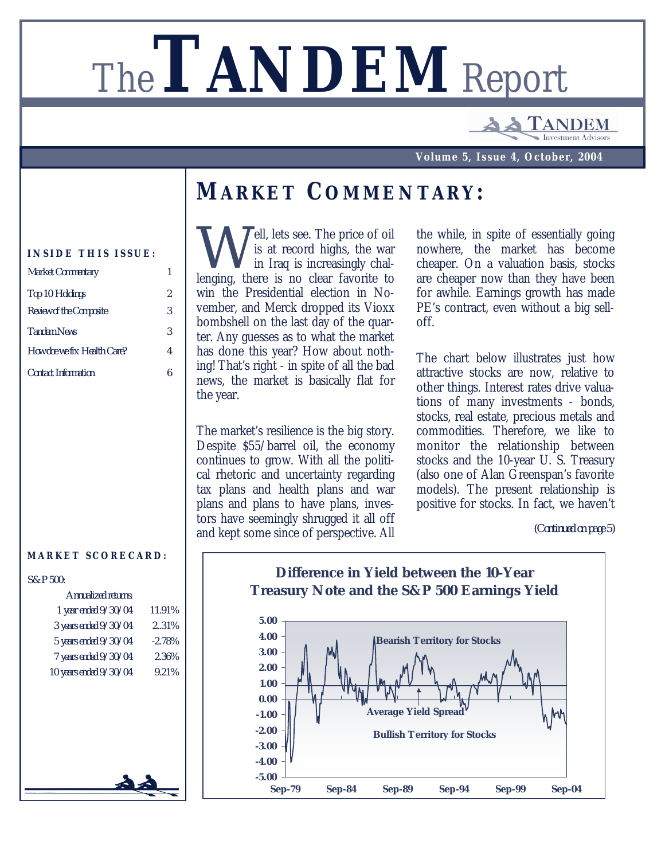# The**TANDEM** Report

ANDEM nvestment Adviso

**Volume 5, Issue 4, October, 2004**

#### *MARKET COMMENTARY:*

#### **INSIDE THIS ISSUE:**

| 2 |
|---|
| 3 |
| 3 |
| 4 |
|   |
|   |

#### **MARKET SCORECARD:**

| S&P 500: |  |  |  |
|----------|--|--|--|
|          |  |  |  |

| Annualized returns:     |           |
|-------------------------|-----------|
| 1 year ended $9/30/04$  | 11.91%    |
| 3 years ended $9/30/04$ | 2.31%     |
| 5 years ended $9/30/04$ | $-2.78\%$ |
| 7 years ended $9/30/04$ | 2.36%     |
| 10 years ended 9/30/04  | 9.21%     |
|                         |           |
|                         |           |
|                         |           |
|                         |           |
|                         |           |
|                         |           |
|                         |           |
|                         |           |
|                         |           |

Well, lets see. The price of oil<br>is at record highs, the war<br>lenging, there is no clear favorite to ell, lets see. The price of oil is at record highs, the war in Iraq is increasingly chalwin the Presidential election in November, and Merck dropped its Vioxx bombshell on the last day of the quarter. Any guesses as to what the market has done this year? How about nothing! That's right - in spite of all the bad news, the market is basically flat for the year.

The market's resilience is the big story. Despite \$55/barrel oil, the economy continues to grow. With all the political rhetoric and uncertainty regarding tax plans and health plans and war plans and plans to have plans, investors have seemingly shrugged it all off and kept some since of perspective. All

the while, in spite of essentially going nowhere, the market has become cheaper. On a valuation basis, stocks are cheaper now than they have been for awhile. Earnings growth has made PE's contract, even without a big selloff.

The chart below illustrates just how attractive stocks are now, relative to other things. Interest rates drive valuations of many investments - bonds, stocks, real estate, precious metals and commodities. Therefore, we like to monitor the relationship between stocks and the 10-year U. S. Treasury (also one of Alan Greenspan's favorite models). The present relationship is positive for stocks. In fact, we haven't

*<sup>(</sup>Continued on page 5)*

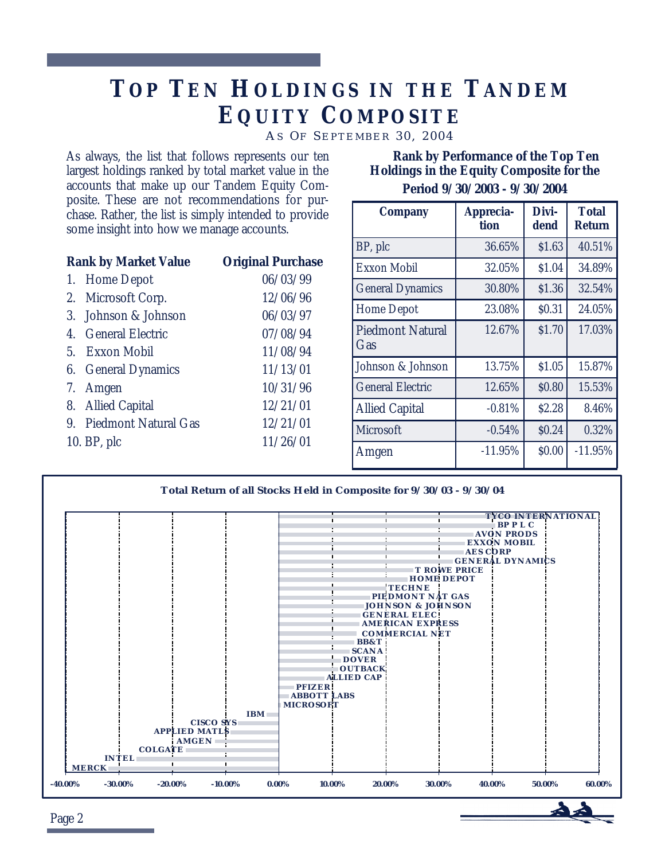# *TO P TE N HOLDINGS I N THE TANDEM EQUITY COMPOSITE*

*A S O F S EPTEMBER 30, 2004*

As always, the list that follows represents our ten largest holdings ranked by total market value in the accounts that make up our Tandem Equity Composite. These are not recommendations for purchase. Rather, the list is simply intended to provide some insight into how we manage accounts.

| <b>Rank by Market Value</b> |                         | <b>Original Purchase</b> |
|-----------------------------|-------------------------|--------------------------|
| 1.                          | <b>Home Depot</b>       | 06/03/99                 |
|                             | 2. Microsoft Corp.      | 12/06/96                 |
|                             | 3. Johnson & Johnson    | 06/03/97                 |
|                             | 4. General Electric     | 07/08/94                 |
|                             | 5. Exxon Mobil          | 11/08/94                 |
|                             | 6. General Dynamics     | 11/13/01                 |
|                             | 7. Amgen                | 10/31/96                 |
|                             | 8. Allied Capital       | 12/21/01                 |
|                             | 9. Piedmont Natural Gas | 12/21/01                 |
|                             | 10. BP, plc             | 11/26/01                 |
|                             |                         |                          |

 **Rank by Performance of the Top Ten Holdings in the Equity Composite for the Period 9/30/2003 - 9/30/2004**

| <b>Company</b>                 | Apprecia-<br>tion | Divi-<br>dend | <b>Total</b><br><b>Return</b> |
|--------------------------------|-------------------|---------------|-------------------------------|
| BP, plc                        | 36.65%            | \$1.63        | 40.51%                        |
| <b>Exxon Mobil</b>             | 32.05%            | \$1.04        | 34.89%                        |
| <b>General Dynamics</b>        | 30.80%            | \$1.36        | 32.54%                        |
| <b>Home Depot</b>              | 23.08%            | \$0.31        | 24.05%                        |
| <b>Piedmont Natural</b><br>Gas | 12.67%            | \$1.70        | 17.03%                        |
| Johnson & Johnson              | 13.75%            | \$1.05        | 15.87%                        |
| <b>General Electric</b>        | 12.65%            | \$0.80        | 15.53%                        |
| <b>Allied Capital</b>          | $-0.81%$          | \$2.28        | 8.46%                         |
| Microsoft                      | $-0.54%$          | \$0.24        | 0.32%                         |
| Amgen                          | $-11.95%$         | \$0.00        | $-11.95%$                     |



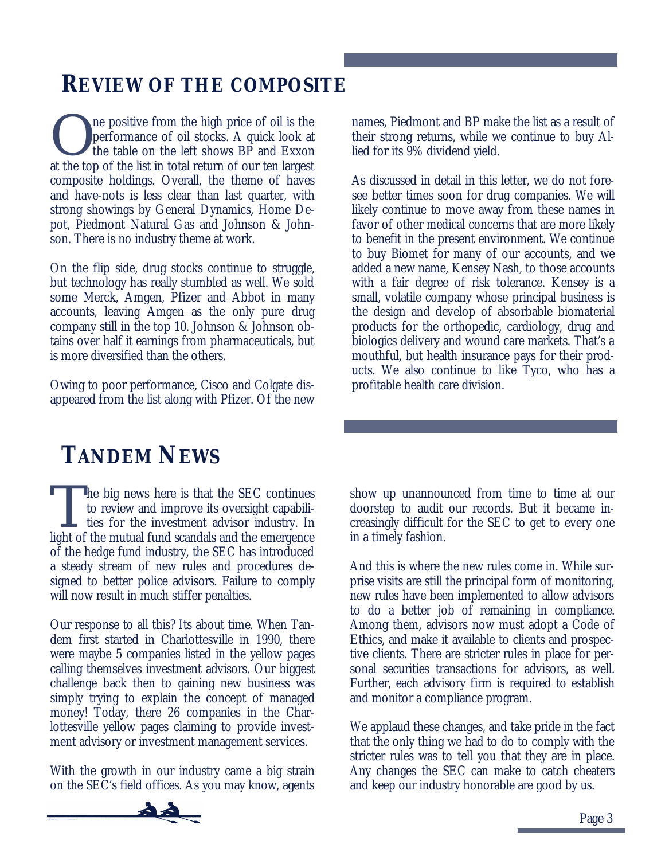### *REVIEW OF THE COMPOSITE*

O ne positive from the high price of oil is the performance of oil stocks. A quick look at the table on the left shows BP and Exxon at the top of the list in total return of our ten largest composite holdings. Overall, the theme of haves and have-nots is less clear than last quarter, with strong showings by General Dynamics, Home Depot, Piedmont Natural Gas and Johnson & Johnson. There is no industry theme at work.

On the flip side, drug stocks continue to struggle, but technology has really stumbled as well. We sold some Merck, Amgen, Pfizer and Abbot in many accounts, leaving Amgen as the only pure drug company still in the top 10. Johnson & Johnson obtains over half it earnings from pharmaceuticals, but is more diversified than the others.

Owing to poor performance, Cisco and Colgate disappeared from the list along with Pfizer. Of the new

# *TANDEM NEWS*

The big news here is that the SEC continues<br>to review and improve its oversight capabili-<br>ties for the investment advisor industry. In<br>light of the mutual fund scandals and the emergence he big news here is that the SEC continues to review and improve its oversight capabili- $\mathsf{\mathsf{L}}$  ties for the investment advisor industry. In of the hedge fund industry, the SEC has introduced a steady stream of new rules and procedures designed to better police advisors. Failure to comply will now result in much stiffer penalties.

Our response to all this? Its about time. When Tandem first started in Charlottesville in 1990, there were maybe 5 companies listed in the yellow pages calling themselves investment advisors. Our biggest challenge back then to gaining new business was simply trying to explain the concept of managed money! Today, there 26 companies in the Charlottesville yellow pages claiming to provide investment advisory or investment management services.

With the growth in our industry came a big strain on the SEC's field offices. As you may know, agents



As discussed in detail in this letter, we do not foresee better times soon for drug companies. We will likely continue to move away from these names in favor of other medical concerns that are more likely to benefit in the present environment. We continue to buy Biomet for many of our accounts, and we added a new name, Kensey Nash, to those accounts with a fair degree of risk tolerance. Kensey is a small, volatile company whose principal business is the design and develop of absorbable biomaterial products for the orthopedic, cardiology, drug and biologics delivery and wound care markets. That's a mouthful, but health insurance pays for their products. We also continue to like Tyco, who has a profitable health care division.

show up unannounced from time to time at our doorstep to audit our records. But it became increasingly difficult for the SEC to get to every one in a timely fashion.

And this is where the new rules come in. While surprise visits are still the principal form of monitoring, new rules have been implemented to allow advisors to do a better job of remaining in compliance. Among them, advisors now must adopt a Code of Ethics, and make it available to clients and prospective clients. There are stricter rules in place for personal securities transactions for advisors, as well. Further, each advisory firm is required to establish and monitor a compliance program.

We applaud these changes, and take pride in the fact that the only thing we had to do to comply with the stricter rules was to tell you that they are in place. Any changes the SEC can make to catch cheaters and keep our industry honorable are good by us.

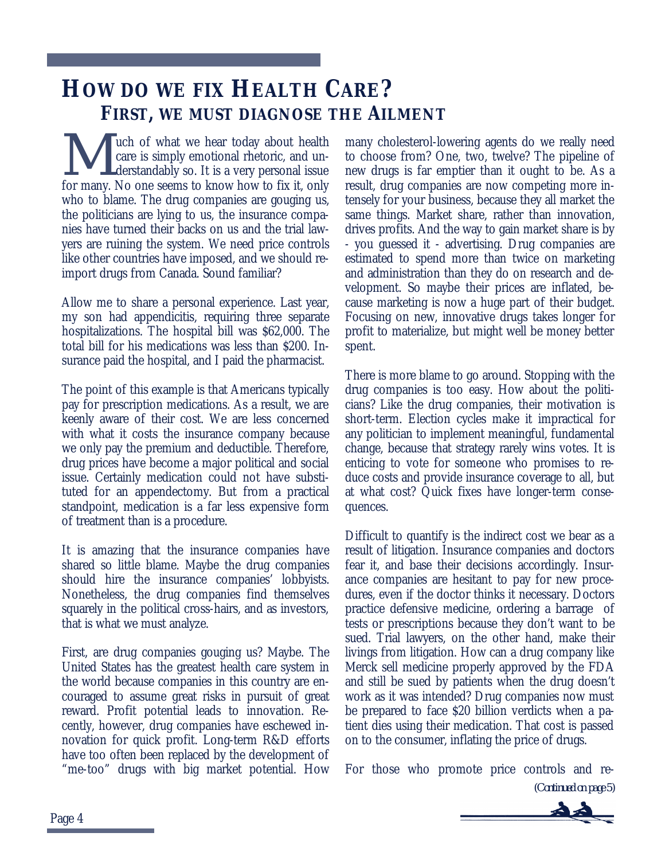# *HOW DO WE FIX HEALTH CARE? FIRST, WE MUST DIAGNOSE THE AILMENT*

**M** we hear today about health care is simply emotional rhetoric, and understandably so. It is a very personal issue for many. No one seems to know how to fix it, only uch of what we hear today about health care is simply emotional rhetoric, and understandably so. It is a very personal issue who to blame. The drug companies are gouging us, the politicians are lying to us, the insurance companies have turned their backs on us and the trial lawyers are ruining the system. We need price controls like other countries have imposed, and we should reimport drugs from Canada. Sound familiar?

Allow me to share a personal experience. Last year, my son had appendicitis, requiring three separate hospitalizations. The hospital bill was \$62,000. The total bill for his medications was less than \$200. Insurance paid the hospital, and I paid the pharmacist.

The point of this example is that Americans typically pay for prescription medications. As a result, we are keenly aware of their cost. We are less concerned with what it costs the insurance company because we only pay the premium and deductible. Therefore, drug prices have become a major political and social issue. Certainly medication could not have substituted for an appendectomy. But from a practical standpoint, medication is a far less expensive form of treatment than is a procedure.

It is amazing that the insurance companies have shared so little blame. Maybe the drug companies should hire the insurance companies' lobbyists. Nonetheless, the drug companies find themselves squarely in the political cross-hairs, and as investors, that is what we must analyze.

First, are drug companies gouging us? Maybe. The United States has the greatest health care system in the world because companies in this country are encouraged to assume great risks in pursuit of great reward. Profit potential leads to innovation. Recently, however, drug companies have eschewed innovation for quick profit. Long-term R&D efforts have too often been replaced by the development of "me-too" drugs with big market potential. How many cholesterol-lowering agents do we really need to choose from? One, two, twelve? The pipeline of new drugs is far emptier than it ought to be. As a result, drug companies are now competing more intensely for your business, because they all market the same things. Market share, rather than innovation, drives profits. And the way to gain market share is by - you guessed it - advertising. Drug companies are estimated to spend more than twice on marketing and administration than they do on research and development. So maybe their prices are inflated, because marketing is now a huge part of their budget. Focusing on new, innovative drugs takes longer for profit to materialize, but might well be money better spent.

There is more blame to go around. Stopping with the drug companies is too easy. How about the politicians? Like the drug companies, their motivation is short-term. Election cycles make it impractical for any politician to implement meaningful, fundamental change, because that strategy rarely wins votes. It is enticing to vote for someone who promises to reduce costs and provide insurance coverage to all, but at what cost? Quick fixes have longer-term consequences.

Difficult to quantify is the indirect cost we bear as a result of litigation. Insurance companies and doctors fear it, and base their decisions accordingly. Insurance companies are hesitant to pay for new procedures, even if the doctor thinks it necessary. Doctors practice defensive medicine, ordering a barrage of tests or prescriptions because they don't want to be sued. Trial lawyers, on the other hand, make their livings from litigation. How can a drug company like Merck sell medicine properly approved by the FDA and still be sued by patients when the drug doesn't work as it was intended? Drug companies now must be prepared to face \$20 billion verdicts when a patient dies using their medication. That cost is passed on to the consumer, inflating the price of drugs.

For those who promote price controls and re-

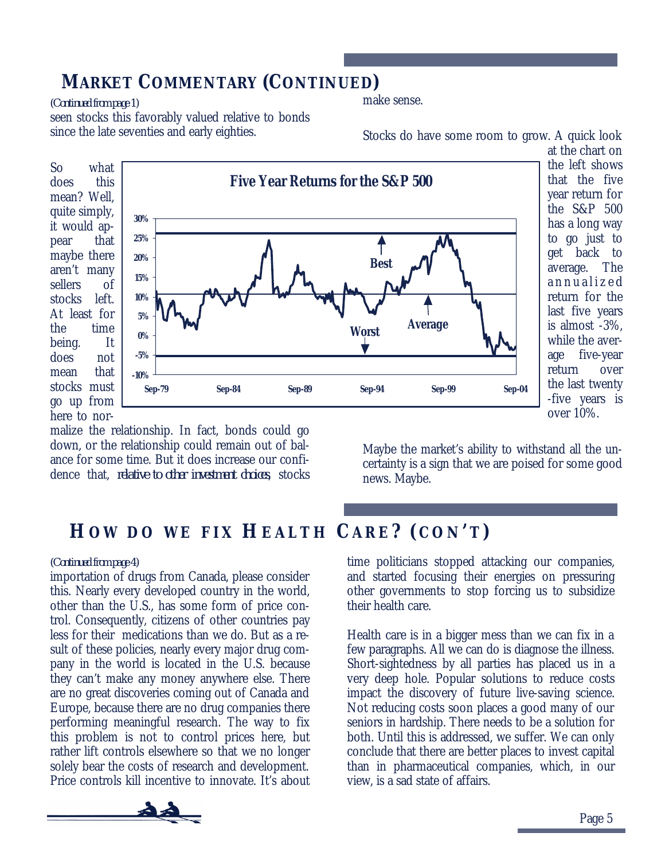#### *MARKET COMMENTARY (CONTINUED)*

*(Continued from page 1)* make sense.

seen stocks this favorably valued relative to bonds since the late seventies and early eighties.

So what does this mean? Well, quite simply, it would appear that maybe there aren't many sellers of stocks left. At least for the time being. It does not mean that stocks must go up from here to nor-**Five Year Returns for the S&P 500 -10% -5% 0% 5% 10% 15% 20% 25% 30% Sep-79 Sep-84 Sep-89 Sep-94 Sep-99 Sep-04 Average Worst Best**

the left shows that the five year return for the S&P 500 has a long way to go just to get back to average. The annualize d return for the last five years is almost -3%, while the average five-year return over the last twenty -five years is over 10%.

malize the relationship. In fact, bonds could go down, or the relationship could remain out of balance for some time. But it does increase our confidence that, *relative to other investment choices*, stocks

Maybe the market's ability to withstand all the uncertainty is a sign that we are poised for some good news. Maybe.

#### *HO W D O W E FIX HEALTH CARE ? (CON 'T)*

importation of drugs from Canada, please consider this. Nearly every developed country in the world, other than the U.S., has some form of price control. Consequently, citizens of other countries pay less for their medications than we do. But as a result of these policies, nearly every major drug company in the world is located in the U.S. because they can't make any money anywhere else. There are no great discoveries coming out of Canada and Europe, because there are no drug companies there performing meaningful research. The way to fix this problem is not to control prices here, but rather lift controls elsewhere so that we no longer solely bear the costs of research and development. Price controls kill incentive to innovate. It's about



Health care is in a bigger mess than we can fix in a few paragraphs. All we can do is diagnose the illness. Short-sightedness by all parties has placed us in a very deep hole. Popular solutions to reduce costs impact the discovery of future live-saving science. Not reducing costs soon places a good many of our seniors in hardship. There needs to be a solution for both. Until this is addressed, we suffer. We can only conclude that there are better places to invest capital than in pharmaceutical companies, which, in our view, is a sad state of affairs.



Stocks do have some room to grow. A quick look at the chart on